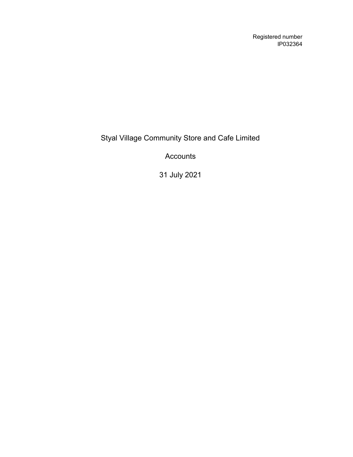Registered number IP032364

Styal Village Community Store and Cafe Limited

Accounts

31 July 2021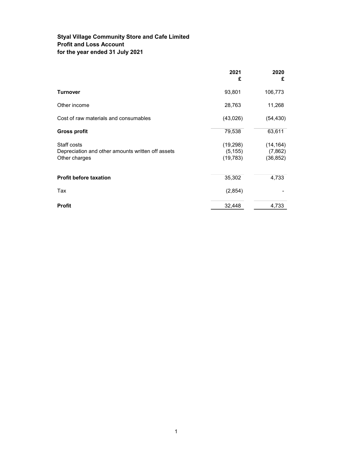### Styal Village Community Store and Cafe Limited Profit and Loss Account for the year ended 31 July 2021

|                                                                                   | 2021<br>£                          | 2020<br>£                         |
|-----------------------------------------------------------------------------------|------------------------------------|-----------------------------------|
| <b>Turnover</b>                                                                   | 93,801                             | 106,773                           |
| Other income                                                                      | 28,763                             | 11,268                            |
| Cost of raw materials and consumables                                             | (43,026)                           | (54, 430)                         |
| <b>Gross profit</b>                                                               | 79,538                             | 63,611                            |
| Staff costs<br>Depreciation and other amounts written off assets<br>Other charges | (19, 298)<br>(5, 155)<br>(19, 783) | (14, 164)<br>(7,862)<br>(36, 852) |
| <b>Profit before taxation</b>                                                     | 35,302                             | 4,733                             |
| Tax                                                                               | (2,854)                            |                                   |
| <b>Profit</b>                                                                     | 32,448                             | 4,733                             |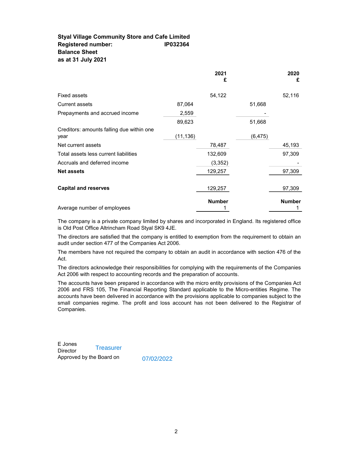#### Styal Village Community Store and Cafe Limited Registered number: IP032364 Balance Sheet as at 31 July 2021

|                                                   |           | 2021<br>£     |          | 2020<br>£     |
|---------------------------------------------------|-----------|---------------|----------|---------------|
| <b>Fixed assets</b>                               |           | 54,122        |          | 52,116        |
| <b>Current assets</b>                             | 87,064    |               | 51,668   |               |
| Prepayments and accrued income                    | 2,559     |               |          |               |
|                                                   | 89,623    |               | 51,668   |               |
| Creditors: amounts falling due within one<br>year | (11, 136) |               | (6, 475) |               |
| Net current assets                                |           | 78,487        |          | 45,193        |
| Total assets less current liabilities             |           | 132,609       |          | 97,309        |
| Accruals and deferred income                      |           | (3, 352)      |          |               |
| <b>Net assets</b>                                 |           | 129,257       |          | 97,309        |
|                                                   |           |               |          |               |
| <b>Capital and reserves</b>                       |           | 129,257       |          | 97,309        |
| Average number of employees                       |           | <b>Number</b> |          | <b>Number</b> |

The company is a private company limited by shares and incorporated in England. Its registered office is Old Post Office Altrincham Road Styal SK9 4JE.

The directors are satisfied that the company is entitled to exemption from the requirement to obtain an audit under section 477 of the Companies Act 2006.

The members have not required the company to obtain an audit in accordance with section 476 of the Act.

The directors acknowledge their responsibilities for complying with the requirements of the Companies Act 2006 with respect to accounting records and the preparation of accounts.

The accounts have been prepared in accordance with the micro entity provisions of the Companies Act 2006 and FRS 105, The Financial Reporting Standard applicable to the Micro-entities Regime. The accounts have been delivered in accordance with the provisions applicable to companies subject to the small companies regime. The profit and loss account has not been delivered to the Registrar of Companies.

E Jones **Director** Approved by the Board on **Treasurer** 

07/02/2022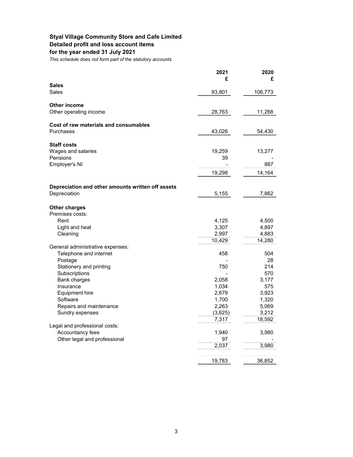### Styal Village Community Store and Cafe Limited Detailed profit and loss account items

## for the year ended 31 July 2021

This schedule does not form part of the statutory accounts

|                                                                   | 2021           | 2020           |
|-------------------------------------------------------------------|----------------|----------------|
| <b>Sales</b>                                                      | £              | £              |
| Sales                                                             | 93,801         | 106,773        |
| <b>Other income</b>                                               |                |                |
| Other operating income                                            | 28,763         | 11,268         |
|                                                                   |                |                |
| Cost of raw materials and consumables                             |                |                |
| Purchases                                                         | 43,026         | 54,430         |
| <b>Staff costs</b>                                                |                |                |
| Wages and salaries                                                | 19,259         | 13,277         |
| Pensions                                                          | 39             |                |
| Employer's NI                                                     |                | 887            |
|                                                                   | 19,298         | 14,164         |
|                                                                   |                |                |
| Depreciation and other amounts written off assets<br>Depreciation | 5,155          | 7,862          |
|                                                                   |                |                |
| <b>Other charges</b>                                              |                |                |
| Premises costs:                                                   |                |                |
| Rent                                                              | 4,125          | 4,500          |
| Light and heat<br>Cleaning                                        | 3,307<br>2,997 | 4,897<br>4,883 |
|                                                                   | 10,429         | 14,280         |
| General administrative expenses:                                  |                |                |
| Telephone and internet                                            | 458            | 504            |
| Postage                                                           |                | 28             |
| Stationery and printing                                           | 750            | 214            |
| Subscriptions<br>Bank charges                                     | 2,058          | 570<br>3,177   |
| Insurance                                                         | 1,034          | 575            |
| Equipment hire                                                    | 2,679          | 3,923          |
| Software                                                          | 1,700          | 1,320          |
| Repairs and maintenance                                           | 2,263          | 5,069          |
| Sundry expenses                                                   | (3,625)        | 3,212          |
| Legal and professional costs:                                     | 7,317          | 18,592         |
| Accountancy fees                                                  | 1,940          | 3,980          |
| Other legal and professional                                      | 97             |                |
|                                                                   | 2,037          | 3,980          |
|                                                                   |                |                |
|                                                                   | 19,783         | 36,852         |